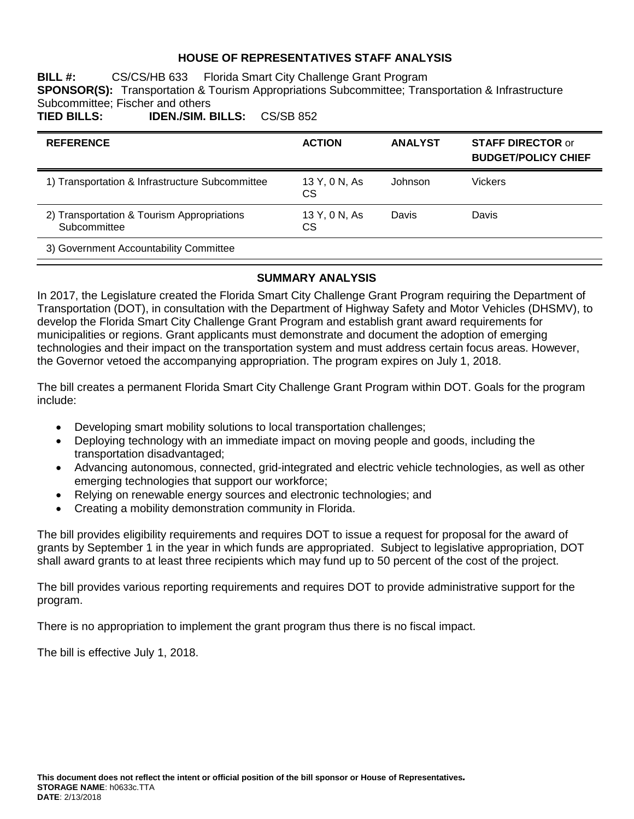## **HOUSE OF REPRESENTATIVES STAFF ANALYSIS**

**BILL #:** CS/CS/HB 633 Florida Smart City Challenge Grant Program **SPONSOR(S):** Transportation & Tourism Appropriations Subcommittee; Transportation & Infrastructure Subcommittee; Fischer and others<br>TIED BILLS: IDEN./SIM. E **TIED BILLS: IDEN./SIM. BILLS:** CS/SB 852

| <b>REFERENCE</b>                                           | <b>ACTION</b>              | <b>ANALYST</b> | <b>STAFF DIRECTOR or</b><br><b>BUDGET/POLICY CHIEF</b> |
|------------------------------------------------------------|----------------------------|----------------|--------------------------------------------------------|
| 1) Transportation & Infrastructure Subcommittee            | 13 Y, 0 N, As<br><b>CS</b> | Johnson        | Vickers                                                |
| 2) Transportation & Tourism Appropriations<br>Subcommittee | 13 Y, 0 N, As<br>СS        | Davis          | Davis                                                  |
| 3) Government Accountability Committee                     |                            |                |                                                        |

### **SUMMARY ANALYSIS**

In 2017, the Legislature created the Florida Smart City Challenge Grant Program requiring the Department of Transportation (DOT), in consultation with the Department of Highway Safety and Motor Vehicles (DHSMV), to develop the Florida Smart City Challenge Grant Program and establish grant award requirements for municipalities or regions. Grant applicants must demonstrate and document the adoption of emerging technologies and their impact on the transportation system and must address certain focus areas. However, the Governor vetoed the accompanying appropriation. The program expires on July 1, 2018.

The bill creates a permanent Florida Smart City Challenge Grant Program within DOT. Goals for the program include:

- Developing smart mobility solutions to local transportation challenges;
- Deploying technology with an immediate impact on moving people and goods, including the transportation disadvantaged;
- Advancing autonomous, connected, grid-integrated and electric vehicle technologies, as well as other emerging technologies that support our workforce;
- Relying on renewable energy sources and electronic technologies; and
- Creating a mobility demonstration community in Florida.

The bill provides eligibility requirements and requires DOT to issue a request for proposal for the award of grants by September 1 in the year in which funds are appropriated. Subject to legislative appropriation, DOT shall award grants to at least three recipients which may fund up to 50 percent of the cost of the project.

The bill provides various reporting requirements and requires DOT to provide administrative support for the program.

There is no appropriation to implement the grant program thus there is no fiscal impact.

The bill is effective July 1, 2018.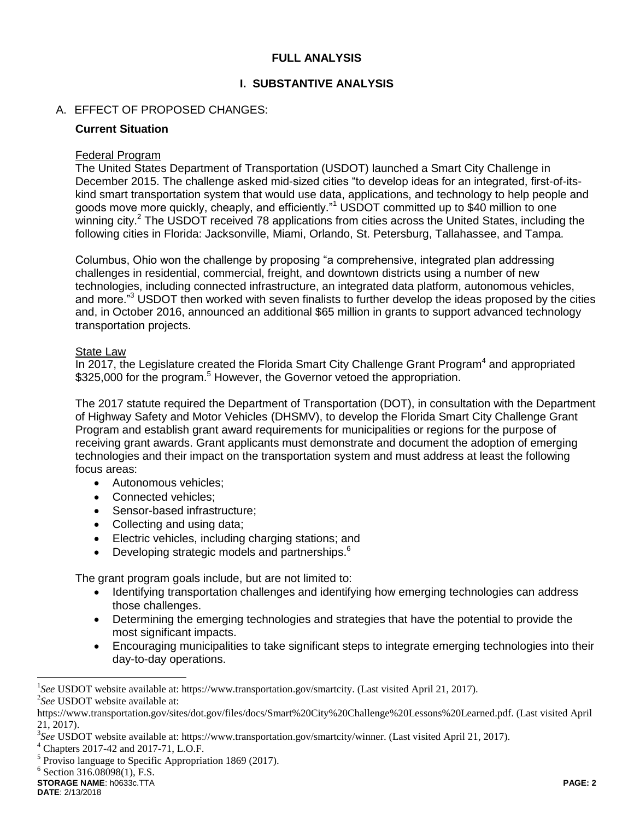## **FULL ANALYSIS**

## **I. SUBSTANTIVE ANALYSIS**

## A. EFFECT OF PROPOSED CHANGES:

### **Current Situation**

### Federal Program

The United States Department of Transportation (USDOT) launched a Smart City Challenge in December 2015. The challenge asked mid-sized cities "to develop ideas for an integrated, first-of-itskind smart transportation system that would use data, applications, and technology to help people and goods move more quickly, cheaply, and efficiently."<sup>1</sup> USDOT committed up to \$40 million to one winning city.<sup>2</sup> The USDOT received 78 applications from cities across the United States, including the following cities in Florida: Jacksonville, Miami, Orlando, St. Petersburg, Tallahassee, and Tampa.

Columbus, Ohio won the challenge by proposing "a comprehensive, integrated plan addressing challenges in residential, commercial, freight, and downtown districts using a number of new technologies, including connected infrastructure, an integrated data platform, autonomous vehicles, and more."<sup>3</sup> USDOT then worked with seven finalists to further develop the ideas proposed by the cities and, in October 2016, announced an additional \$65 million in grants to support advanced technology transportation projects.

### State Law

In 2017, the Legislature created the Florida Smart City Challenge Grant Program $4$  and appropriated \$325,000 for the program.<sup>5</sup> However, the Governor vetoed the appropriation.

The 2017 statute required the Department of Transportation (DOT), in consultation with the Department of Highway Safety and Motor Vehicles (DHSMV), to develop the Florida Smart City Challenge Grant Program and establish grant award requirements for municipalities or regions for the purpose of receiving grant awards. Grant applicants must demonstrate and document the adoption of emerging technologies and their impact on the transportation system and must address at least the following focus areas:

- Autonomous vehicles:
- Connected vehicles:
- Sensor-based infrastructure;
- Collecting and using data;
- Electric vehicles, including charging stations; and
- Developing strategic models and partnerships.<sup>6</sup>

The grant program goals include, but are not limited to:

- Identifying transportation challenges and identifying how emerging technologies can address those challenges.
- Determining the emerging technologies and strategies that have the potential to provide the most significant impacts.
- Encouraging municipalities to take significant steps to integrate emerging technologies into their day-to-day operations.

 $\overline{a}$ 

<sup>&</sup>lt;sup>1</sup>See USDOT website available at: https://www.transportation.gov/smartcity. (Last visited April 21, 2017). 2 *See* USDOT website available at:

https://www.transportation.gov/sites/dot.gov/files/docs/Smart%20City%20Challenge%20Lessons%20Learned.pdf. (Last visited April 21, 2017).

<sup>3</sup> *See* USDOT website available at: https://www.transportation.gov/smartcity/winner. (Last visited April 21, 2017).

<sup>4</sup> Chapters 2017-42 and 2017-71, L.O.F.

<sup>&</sup>lt;sup>5</sup> Proviso language to Specific Appropriation 1869 (2017).

 $6$  Section 316.08098(1), F.S.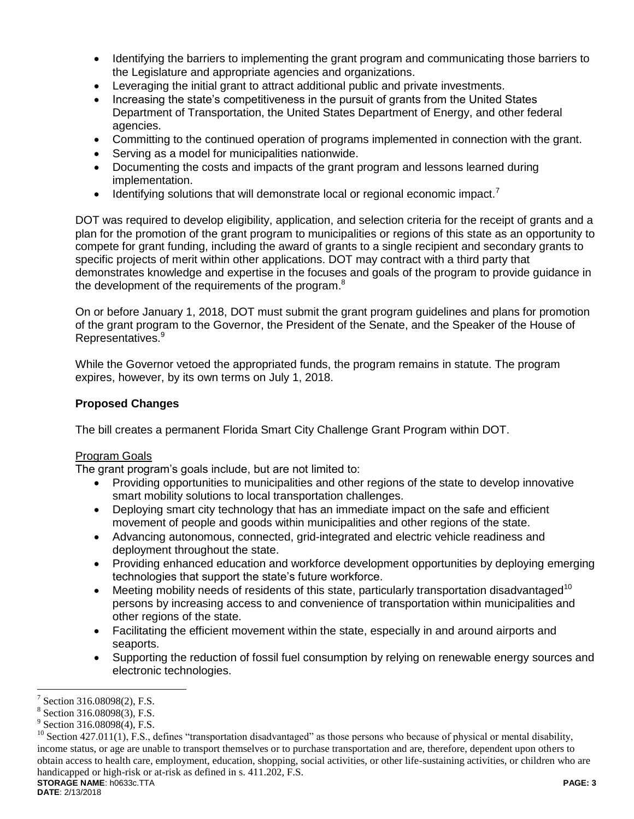- Identifying the barriers to implementing the grant program and communicating those barriers to the Legislature and appropriate agencies and organizations.
- Leveraging the initial grant to attract additional public and private investments.
- Increasing the state's competitiveness in the pursuit of grants from the United States Department of Transportation, the United States Department of Energy, and other federal agencies.
- Committing to the continued operation of programs implemented in connection with the grant.
- Serving as a model for municipalities nationwide.
- Documenting the costs and impacts of the grant program and lessons learned during implementation.
- **IDENTIFY IDENTIFY IDEOTATA IDEDET IDEDET IDEDET IDEDET IDEDET IDEDET IDEDET IDEDET IDEDET IDEDETE IDEDETE IDEDETE IDEDETE IDEDETE IDEDETE IDEDETE**

DOT was required to develop eligibility, application, and selection criteria for the receipt of grants and a plan for the promotion of the grant program to municipalities or regions of this state as an opportunity to compete for grant funding, including the award of grants to a single recipient and secondary grants to specific projects of merit within other applications. DOT may contract with a third party that demonstrates knowledge and expertise in the focuses and goals of the program to provide guidance in the development of the requirements of the program.<sup>8</sup>

On or before January 1, 2018, DOT must submit the grant program guidelines and plans for promotion of the grant program to the Governor, the President of the Senate, and the Speaker of the House of Representatives.<sup>9</sup>

While the Governor vetoed the appropriated funds, the program remains in statute. The program expires, however, by its own terms on July 1, 2018.

## **Proposed Changes**

The bill creates a permanent Florida Smart City Challenge Grant Program within DOT.

## Program Goals

The grant program's goals include, but are not limited to:

- Providing opportunities to municipalities and other regions of the state to develop innovative smart mobility solutions to local transportation challenges.
- Deploying smart city technology that has an immediate impact on the safe and efficient movement of people and goods within municipalities and other regions of the state.
- Advancing autonomous, connected, grid-integrated and electric vehicle readiness and deployment throughout the state.
- Providing enhanced education and workforce development opportunities by deploying emerging technologies that support the state's future workforce.
- $\bullet$  Meeting mobility needs of residents of this state, particularly transportation disadvantaged<sup>10</sup> persons by increasing access to and convenience of transportation within municipalities and other regions of the state.
- Facilitating the efficient movement within the state, especially in and around airports and seaports.
- Supporting the reduction of fossil fuel consumption by relying on renewable energy sources and electronic technologies.

 $\overline{a}$ 7 Section 316.08098(2), F.S.

<sup>8</sup> Section 316.08098(3), F.S.

<sup>&</sup>lt;sup>9</sup> Section 316.08098(4), F.S.

**STORAGE NAME**: h0633c.TTA **PAGE: 3**  $^{10}$  Section 427.011(1), F.S., defines "transportation disadvantaged" as those persons who because of physical or mental disability, income status, or age are unable to transport themselves or to purchase transportation and are, therefore, dependent upon others to obtain access to health care, employment, education, shopping, social activities, or other life-sustaining activities, or children who are handicapped or high-risk or at-risk as defined in s. 411.202, F.S.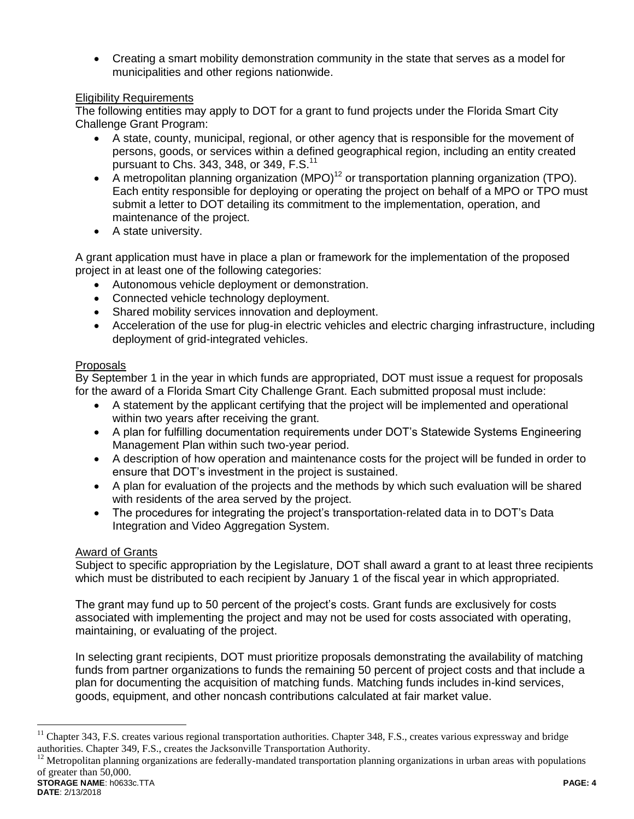Creating a smart mobility demonstration community in the state that serves as a model for municipalities and other regions nationwide.

## Eligibility Requirements

The following entities may apply to DOT for a grant to fund projects under the Florida Smart City Challenge Grant Program:

- A state, county, municipal, regional, or other agency that is responsible for the movement of persons, goods, or services within a defined geographical region, including an entity created pursuant to Chs. 343, 348, or 349,  $F.S.<sup>11</sup>$
- A metropolitan planning organization  $(MPO)^{12}$  or transportation planning organization (TPO). Each entity responsible for deploying or operating the project on behalf of a MPO or TPO must submit a letter to DOT detailing its commitment to the implementation, operation, and maintenance of the project.
- A state university.

A grant application must have in place a plan or framework for the implementation of the proposed project in at least one of the following categories:

- Autonomous vehicle deployment or demonstration.
- Connected vehicle technology deployment.
- Shared mobility services innovation and deployment.
- Acceleration of the use for plug-in electric vehicles and electric charging infrastructure, including deployment of grid-integrated vehicles.

## Proposals

By September 1 in the year in which funds are appropriated, DOT must issue a request for proposals for the award of a Florida Smart City Challenge Grant. Each submitted proposal must include:

- A statement by the applicant certifying that the project will be implemented and operational within two years after receiving the grant.
- A plan for fulfilling documentation requirements under DOT's Statewide Systems Engineering Management Plan within such two-year period.
- A description of how operation and maintenance costs for the project will be funded in order to ensure that DOT's investment in the project is sustained.
- A plan for evaluation of the projects and the methods by which such evaluation will be shared with residents of the area served by the project.
- The procedures for integrating the project's transportation-related data in to DOT's Data Integration and Video Aggregation System.

## Award of Grants

Subject to specific appropriation by the Legislature, DOT shall award a grant to at least three recipients which must be distributed to each recipient by January 1 of the fiscal year in which appropriated.

The grant may fund up to 50 percent of the project's costs. Grant funds are exclusively for costs associated with implementing the project and may not be used for costs associated with operating, maintaining, or evaluating of the project.

In selecting grant recipients, DOT must prioritize proposals demonstrating the availability of matching funds from partner organizations to funds the remaining 50 percent of project costs and that include a plan for documenting the acquisition of matching funds. Matching funds includes in-kind services, goods, equipment, and other noncash contributions calculated at fair market value.

 $\overline{a}$ 

<sup>&</sup>lt;sup>11</sup> Chapter 343, F.S. creates various regional transportation authorities. Chapter 348, F.S., creates various expressway and bridge authorities. Chapter 349, F.S., creates the Jacksonville Transportation Authority.

**STORAGE NAME**: h0633c.TTA **PAGE: 4**  $12$  Metropolitan planning organizations are federally-mandated transportation planning organizations in urban areas with populations of greater than 50,000.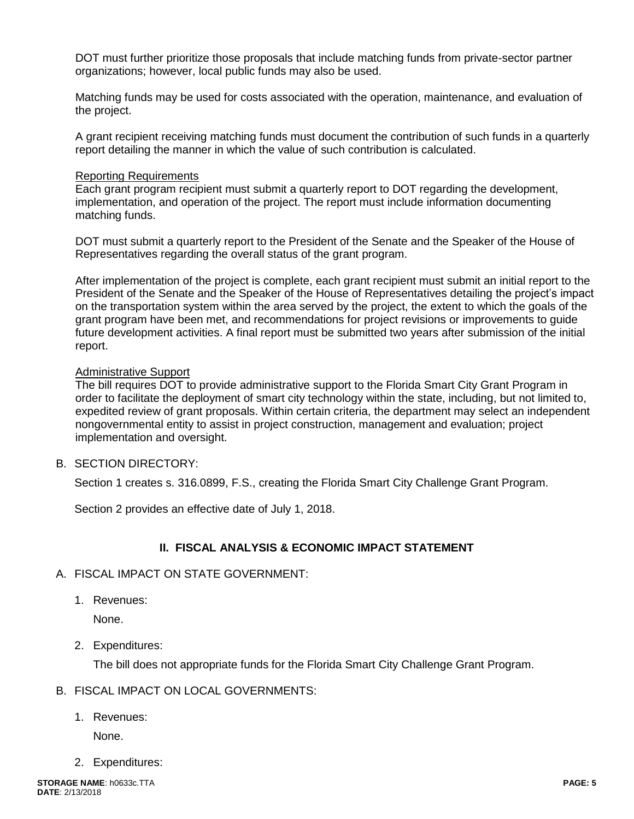DOT must further prioritize those proposals that include matching funds from private-sector partner organizations; however, local public funds may also be used.

Matching funds may be used for costs associated with the operation, maintenance, and evaluation of the project.

A grant recipient receiving matching funds must document the contribution of such funds in a quarterly report detailing the manner in which the value of such contribution is calculated.

#### Reporting Requirements

Each grant program recipient must submit a quarterly report to DOT regarding the development, implementation, and operation of the project. The report must include information documenting matching funds.

DOT must submit a quarterly report to the President of the Senate and the Speaker of the House of Representatives regarding the overall status of the grant program.

After implementation of the project is complete, each grant recipient must submit an initial report to the President of the Senate and the Speaker of the House of Representatives detailing the project's impact on the transportation system within the area served by the project, the extent to which the goals of the grant program have been met, and recommendations for project revisions or improvements to guide future development activities. A final report must be submitted two years after submission of the initial report.

### Administrative Support

The bill requires DOT to provide administrative support to the Florida Smart City Grant Program in order to facilitate the deployment of smart city technology within the state, including, but not limited to, expedited review of grant proposals. Within certain criteria, the department may select an independent nongovernmental entity to assist in project construction, management and evaluation; project implementation and oversight.

B. SECTION DIRECTORY:

Section 1 creates s. 316.0899, F.S., creating the Florida Smart City Challenge Grant Program.

Section 2 provides an effective date of July 1, 2018.

## **II. FISCAL ANALYSIS & ECONOMIC IMPACT STATEMENT**

#### A. FISCAL IMPACT ON STATE GOVERNMENT:

1. Revenues:

None.

2. Expenditures:

The bill does not appropriate funds for the Florida Smart City Challenge Grant Program.

## B. FISCAL IMPACT ON LOCAL GOVERNMENTS:

1. Revenues:

None.

2. Expenditures: